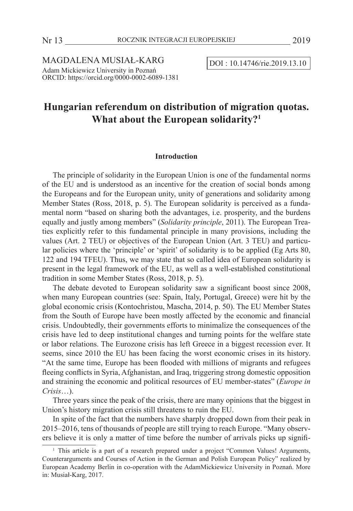$MAGDALENA MUSIAL-KARG$   $\boxed{DOI : 10.14746/rie.2019.13.10}$ Adam Mickiewicz University in Poznań ORCID: https://orcid.org/0000-0002-6089-1381

# **Hungarian referendum on distribution of migration quotas. What about the European solidarity?1**

# **Introduction**

The principle of solidarity in the European Union is one of the fundamental norms of the EU and is understood as an incentive for the creation of social bonds among the Europeans and for the European unity, unity of generations and solidarity among Member States (Ross, 2018, p. 5). The European solidarity is perceived as a fundamental norm "based on sharing both the advantages, i.e. prosperity, and the burdens equally and justly among members" (*Solidarity principle*, 2011). The European Treaties explicitly refer to this fundamental principle in many provisions, including the values (Art. 2 TEU) or objectives of the European Union (Art. 3 TEU) and particular policies where the 'principle' or 'spirit' of solidarity is to be applied (Eg Arts 80, 122 and 194 TFEU). Thus, we may state that so called idea of European solidarity is present in the legal framework of the EU, as well as a well-established constitutional tradition in some Member States (Ross, 2018, p. 5).

The debate devoted to European solidarity saw a significant boost since 2008, when many European countries (see: Spain, Italy, Portugal, Greece) were hit by the global economic crisis (Kontochristou, Mascha, 2014, p. 50). The EU Member States from the South of Europe have been mostly affected by the economic and financial crisis. Undoubtedly, their governments efforts to minimalize the consequences of the crisis have led to deep institutional changes and turning points for the welfare state or labor relations. The Eurozone crisis has left Greece in a biggest recession ever. It seems, since 2010 the EU has been facing the worst economic crises in its history. "At the same time, Europe has been flooded with millions of migrants and refugees fleeing conflicts in Syria, Afghanistan, and Iraq, triggering strong domestic opposition and straining the economic and political resources of EU member-states" (*Europe in Crisis*…).

Three years since the peak of the crisis, there are many opinions that the biggest in Union's history migration crisis still threatens to ruin the EU.

In spite of the fact that the numbers have sharply dropped down from their peak in 2015–2016, tens of thousands of people are still trying to reach Europe. "Many observers believe it is only a matter of time before the number of arrivals picks up signifi-

<sup>&</sup>lt;sup>1</sup> This article is a part of a research prepared under a project "Common Values! Arguments, Counterarguments and Courses of Action in the German and Polish European Policy" realized by European Academy Berlin in co-operation with the AdamMickiewicz University in Poznań. More in: Musiał-Karg, 2017.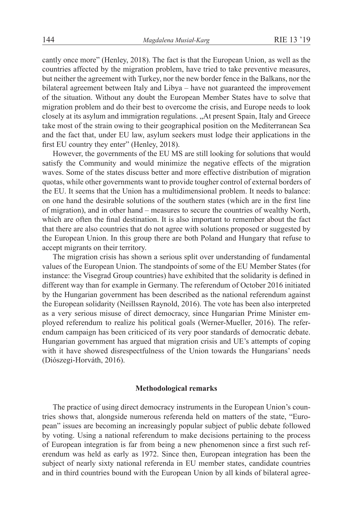cantly once more" (Henley, 2018). The fact is that the European Union, as well as the countries affected by the migration problem, have tried to take preventive measures, but neither the agreement with Turkey, nor the new border fence in the Balkans, nor the bilateral agreement between Italy and Libya – have not guaranteed the improvement of the situation. Without any doubt the European Member States have to solve that migration problem and do their best to overcome the crisis, and Europe needs to look closely at its asylum and immigration regulations. "At present Spain, Italy and Greece take most of the strain owing to their geographical position on the Mediterranean Sea and the fact that, under EU law, asylum seekers must lodge their applications in the first EU country they enter" (Henley, 2018).

However, the governments of the EU MS are still looking for solutions that would satisfy the Community and would minimize the negative effects of the migration waves. Some of the states discuss better and more effective distribution of migration quotas, while other governments want to provide tougher control of external borders of the EU. It seems that the Union has a multidimensional problem. It needs to balance: on one hand the desirable solutions of the southern states (which are in the first line of migration), and in other hand – measures to secure the countries of wealthy North, which are often the final destination. It is also important to remember about the fact that there are also countries that do not agree with solutions proposed or suggested by the European Union. In this group there are both Poland and Hungary that refuse to accept migrants on their territory.

The migration crisis has shown a serious split over understanding of fundamental values of the European Union. The standpoints of some of the EU Member States (for instance: the Visegrad Group countries) have exhibited that the solidarity is defined in different way than for example in Germany. The referendum of October 2016 initiated by the Hungarian government has been described as the national referendum against the European solidarity (Neillssen Raynold, 2016). The vote has been also interpreted as a very serious misuse of direct democracy, since Hungarian Prime Minister employed referendum to realize his political goals (Werner-Mueller, 2016). The referendum campaign has been criticiced of its very poor standards of democratic debate. Hungarian government has argued that migration crisis and UE's attempts of coping with it have showed disrespectfulness of the Union towards the Hungarians' needs (Diószegi-Horváth, 2016).

# **Methodological remarks**

The practice of using direct democracy instruments in the European Union's countries shows that, alongside numerous referenda held on matters of the state, "European" issues are becoming an increasingly popular subject of public debate followed by voting. Using a national referendum to make decisions pertaining to the process of European integration is far from being a new phenomenon since a first such referendum was held as early as 1972. Since then, European integration has been the subject of nearly sixty national referenda in EU member states, candidate countries and in third countries bound with the European Union by all kinds of bilateral agree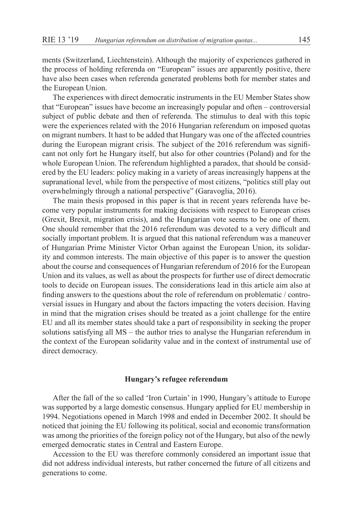ments (Switzerland, Liechtenstein). Although the majority of experiences gathered in the process of holding referenda on "European" issues are apparently positive, there have also been cases when referenda generated problems both for member states and the European Union.

The experiences with direct democratic instruments in the EU Member States show that "European" issues have become an increasingly popular and often – controversial subject of public debate and then of referenda. The stimulus to deal with this topic were the experiences related with the 2016 Hungarian referendum on imposed quotas on migrant numbers. It hast to be added that Hungary was one of the affected countries during the European migrant crisis. The subject of the 2016 referendum was significant not only fort he Hungary itself, but also for other countries (Poland) and for the whole European Union. The referendum highlighted a paradox, that should be considered by the EU leaders: policy making in a variety of areas increasingly happens at the supranational level, while from the perspective of most citizens, "politics still play out overwhelmingly through a national perspective" (Garavoglia, 2016).

The main thesis proposed in this paper is that in recent years referenda have become very popular instruments for making decisions with respect to European crises (Grexit, Brexit, migration crisis), and the Hungarian vote seems to be one of them. One should remember that the 2016 referendum was devoted to a very difficult and socially important problem. It is argued that this national referendum was a maneuver of Hungarian Prime Minister Victor Orban against the European Union, its solidarity and common interests. The main objective of this paper is to answer the question about the course and consequences of Hungarian referendum of 2016 for the European Union and its values, as well as about the prospects for further use of direct democratic tools to decide on European issues. The considerations lead in this article aim also at finding answers to the questions about the role of referendum on problematic / controversial issues in Hungary and about the factors impacting the voters decision. Having in mind that the migration crises should be treated as a joint challenge for the entire EU and all its member states should take a part of responsibility in seeking the proper solutions satisfying all MS – the author tries to analyse the Hungarian referendum in the context of the European solidarity value and in the context of instrumental use of direct democracy.

# **Hungary's refugee referendum**

After the fall of the so called 'Iron Curtain' in 1990, Hungary's attitude to Europe was supported by a large domestic consensus. Hungary applied for EU membership in 1994. Negotiations opened in March 1998 and ended in December 2002. It should be noticed that joining the EU following its political, social and economic transformation was among the priorities of the foreign policy not of the Hungary, but also of the newly emerged democratic states in Central and Eastern Europe.

Accession to the EU was therefore commonly considered an important issue that did not address individual interests, but rather concerned the future of all citizens and generations to come.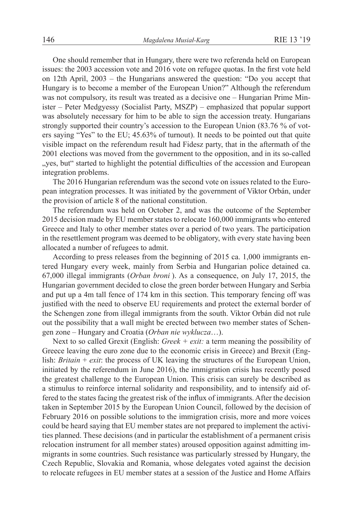One should remember that in Hungary, there were two referenda held on European issues: the 2003 accession vote and 2016 vote on refugee quotas. In the first vote held on 12th April, 2003 – the Hungarians answered the question: "Do you accept that Hungary is to become a member of the European Union?" Although the referendum was not compulsory, its result was treated as a decisive one – Hungarian Prime Minister – Peter Medgyessy (Socialist Party, MSZP) – emphasized that popular support was absolutely necessary for him to be able to sign the accession treaty. Hungarians strongly supported their country's accession to the European Union (83.76 % of voters saying "Yes" to the EU; 45.63% of turnout). It needs to be pointed out that quite visible impact on the referendum result had Fidesz party, that in the aftermath of the 2001 elections was moved from the government to the opposition, and in its so-called "yes, but" started to highlight the potential difficulties of the accession and European integration problems.

The 2016 Hungarian referendum was the second vote on issues related to the European integration processes. It was initiated by the government of Viktor Orbán, under the provision of article 8 of the national constitution.

The referendum was held on October 2, and was the outcome of the September 2015 decision made by EU member states to relocate 160,000 immigrants who entered Greece and Italy to other member states over a period of two years. The participation in the resettlement program was deemed to be obligatory, with every state having been allocated a number of refugees to admit.

According to press releases from the beginning of 2015 ca. 1,000 immigrants entered Hungary every week, mainly from Serbia and Hungarian police detained ca. 67,000 illegal immigrants (*Orban broni* ). As a consequence, on July 17, 2015, the Hungarian government decided to close the green border between Hungary and Serbia and put up a 4m tall fence of 174 km in this section. This temporary fencing off was justified with the need to observe EU requirements and protect the external border of the Schengen zone from illegal immigrants from the south. Viktor Orbán did not rule out the possibility that a wall might be erected between two member states of Schengen zone – Hungary and Croatia (*Orban nie wyklucza*…).

Next to so called Grexit (English: *Greek + exit:* a term meaning the possibility of Greece leaving the euro zone due to the economic crisis in Greece) and Brexit (English: *Britain* + *exit*: the process of UK leaving the structures of the European Union, initiated by the referendum in June 2016), the immigration crisis has recently posed the greatest challenge to the European Union. This crisis can surely be described as a stimulus to reinforce internal solidarity and responsibility, and to intensify aid offered to the states facing the greatest risk of the influx of immigrants. After the decision taken in September 2015 by the European Union Council, followed by the decision of February 2016 on possible solutions to the immigration crisis, more and more voices could be heard saying that EU member states are not prepared to implement the activities planned. These decisions (and in particular the establishment of a permanent crisis relocation instrument for all member states) aroused opposition against admitting immigrants in some countries. Such resistance was particularly stressed by Hungary, the Czech Republic, Slovakia and Romania, whose delegates voted against the decision to relocate refugees in EU member states at a session of the Justice and Home Affairs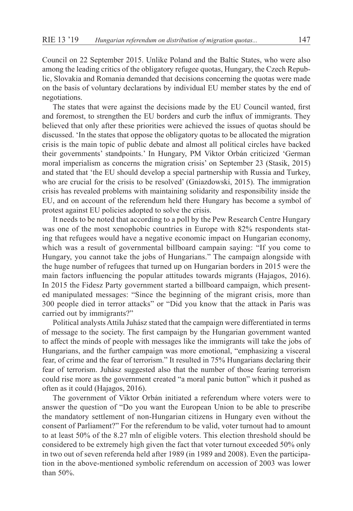Council on 22 September 2015. Unlike Poland and the Baltic States, who were also among the leading critics of the obligatory refugee quotas, Hungary, the Czech Republic, Slovakia and Romania demanded that decisions concerning the quotas were made on the basis of voluntary declarations by individual EU member states by the end of negotiations.

The states that were against the decisions made by the EU Council wanted, first and foremost, to strengthen the EU borders and curb the influx of immigrants. They believed that only after these priorities were achieved the issues of quotas should be discussed. 'In the states that oppose the obligatory quotas to be allocated the migration crisis is the main topic of public debate and almost all political circles have backed their governments' standpoints.' In Hungary, PM Viktor Orbán criticized 'German moral imperialism as concerns the migration crisis' on September 23 (Stasik, 2015) and stated that 'the EU should develop a special partnership with Russia and Turkey, who are crucial for the crisis to be resolved' (Gniazdowski, 2015). The immigration crisis has revealed problems with maintaining solidarity and responsibility inside the EU, and on account of the referendum held there Hungary has become a symbol of protest against EU policies adopted to solve the crisis.

It needs to be noted that according to a poll by the Pew Research Centre Hungary was one of the most xenophobic countries in Europe with 82% respondents stating that refugees would have a negative economic impact on Hungarian economy, which was a result of governmental billboard campain saying: "If you come to Hungary, you cannot take the jobs of Hungarians." The campaign alongside with the huge number of refugees that turned up on Hungarian borders in 2015 were the main factors influencing the popular attitudes towards migrants (Hajagos, 2016). In 2015 the Fidesz Party government started a billboard campaign, which presented manipulated messages: "Since the beginning of the migrant crisis, more than 300 people died in terror attacks" or "Did you know that the attack in Paris was carried out by immigrants?"

Political analysts Attila Juhász stated that the campaign were differentiated in terms of message to the society. The first campaign by the Hungarian government wanted to affect the minds of people with messages like the immigrants will take the jobs of Hungarians, and the further campaign was more emotional, "emphasizing a visceral fear, of crime and the fear of terrorism." It resulted in 75% Hungarians declaring their fear of terrorism. Juhász suggested also that the number of those fearing terrorism could rise more as the government created "a moral panic button" which it pushed as often as it could (Hajagos, 2016).

The government of Viktor Orbán initiated a referendum where voters were to answer the question of "Do you want the European Union to be able to prescribe the mandatory settlement of non-Hungarian citizens in Hungary even without the consent of Parliament?" For the referendum to be valid, voter turnout had to amount to at least 50% of the 8.27 mln of eligible voters. This election threshold should be considered to be extremely high given the fact that voter turnout exceeded 50% only in two out of seven referenda held after 1989 (in 1989 and 2008). Even the participation in the above-mentioned symbolic referendum on accession of 2003 was lower than 50%.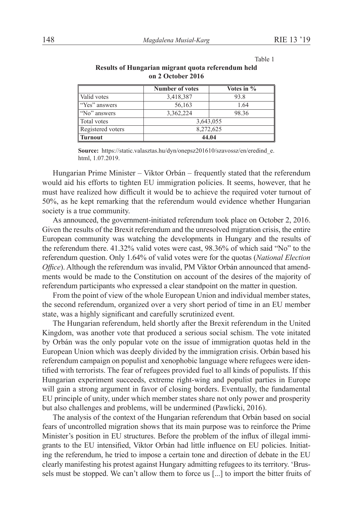Table 1

|                   | <b>Number of votes</b> | Votes in % |
|-------------------|------------------------|------------|
| Valid votes       | 3,418,387              | 93.8       |
| "Yes" answers     | 56,163                 | 1.64       |
| "No" answers      | 3,362,224              | 98.36      |
| Total votes       | 3,643,055              |            |
| Registered voters | 8,272,625              |            |
| <b>Turnout</b>    | 44.04                  |            |

### **Results of Hungarian migrant quota referendum held on 2 October 2016**

**Source:** https://static.valasztas.hu/dyn/onepsz201610/szavossz/en/eredind\_e. html, 1.07.2019.

Hungarian Prime Minister – Viktor Orbán – frequently stated that the referendum would aid his efforts to tighten EU immigration policies. It seems, however, that he must have realized how difficult it would be to achieve the required voter turnout of 50%, as he kept remarking that the referendum would evidence whether Hungarian society is a true community.

As announced, the government-initiated referendum took place on October 2, 2016. Given the results of the Brexit referendum and the unresolved migration crisis, the entire European community was watching the developments in Hungary and the results of the referendum there. 41.32% valid votes were cast, 98.36% of which said "No" to the referendum question. Only 1.64% of valid votes were for the quotas (*National Election Office*). Although the referendum was invalid, PM Viktor Orbán announced that amendments would be made to the Constitution on account of the desires of the majority of referendum participants who expressed a clear standpoint on the matter in question.

From the point of view of the whole European Union and individual member states, the second referendum, organized over a very short period of time in an EU member state, was a highly significant and carefully scrutinized event.

The Hungarian referendum, held shortly after the Brexit referendum in the United Kingdom, was another vote that produced a serious social schism. The vote initated by Orbán was the only popular vote on the issue of immigration quotas held in the European Union which was deeply divided by the immigration crisis. Orbán based his referendum campaign on populist and xenophobic language where refugees were identified with terrorists. The fear of refugees provided fuel to all kinds of populists. If this Hungarian experiment succeeds, extreme right-wing and populist parties in Europe will gain a strong argument in favor of closing borders. Eventually, the fundamental EU principle of unity, under which member states share not only power and prosperity but also challenges and problems, will be undermined (Pawlicki, 2016).

The analysis of the context of the Hungarian referendum that Orbán based on social fears of uncontrolled migration shows that its main purpose was to reinforce the Prime Minister's position in EU structures. Before the problem of the influx of illegal immigrants to the EU intensified, Viktor Orbán had little influence on EU policies. Initiating the referendum, he tried to impose a certain tone and direction of debate in the EU clearly manifesting his protest against Hungary admitting refugees to its territory. 'Brussels must be stopped. We can't allow them to force us [...] to import the bitter fruits of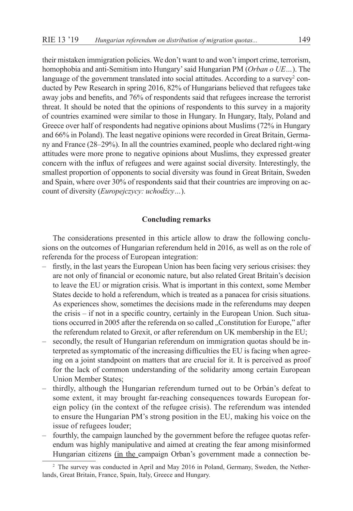their mistaken immigration policies. We don't want to and won't import crime, terrorism, homophobia and anti-Semitism into Hungary' said Hungarian PM (*Orban o UE…*). The language of the government translated into social attitudes. According to a survey<sup>2</sup> conducted by Pew Research in spring 2016, 82% of Hungarians believed that refugees take away jobs and benefits, and 76% of respondents said that refugees increase the terrorist threat. It should be noted that the opinions of respondents to this survey in a majority of countries examined were similar to those in Hungary. In Hungary, Italy, Poland and Greece over half of respondents had negative opinions about Muslims (72% in Hungary and 66% in Poland). The least negative opinions were recorded in Great Britain, Germany and France (28–29%). In all the countries examined, people who declared right-wing attitudes were more prone to negative opinions about Muslims, they expressed greater concern with the influx of refugees and were against social diversity. Interestingly, the smallest proportion of opponents to social diversity was found in Great Britain, Sweden and Spain, where over 30% of respondents said that their countries are improving on account of diversity (*Europejczycy: uchodźcy…*).

# **Concluding remarks**

The considerations presented in this article allow to draw the following conclusions on the outcomes of Hungarian referendum held in 2016, as well as on the role of referenda for the process of European integration:

- firstly, in the last years the European Union has been facing very serious crisises: they are not only of financial or economic nature, but also related Great Britain's decision to leave the EU or migration crisis. What is important in this context, some Member States decide to hold a referendum, which is treated as a panacea for crisis situations. As experiences show, sometimes the decisions made in the referendums may deepen the crisis – if not in a specific country, certainly in the European Union. Such situations occurred in 2005 after the referenda on so called "Constitution for Europe," after the referendum related to Grexit, or after referendum on UK membership in the EU;
- secondly, the result of Hungarian referendum on immigration quotas should be interpreted as symptomatic of the increasing difficulties the EU is facing when agreeing on a joint standpoint on matters that are crucial for it. It is perceived as proof for the lack of common understanding of the solidarity among certain European Union Member States;
- thirdly, although the Hungarian referendum turned out to be Orbán's defeat to some extent, it may brought far-reaching consequences towards European foreign policy (in the context of the refugee crisis). The referendum was intended to ensure the Hungarian PM's strong position in the EU, making his voice on the issue of refugees louder;
- fourthly, the campaign launched by the government before the refugee quotas referendum was highly manipulative and aimed at creating the fear among misinformed Hungarian citizens (in the campaign Orban's government made a connection be-

<sup>2</sup> The survey was conducted in April and May 2016 in Poland, Germany, Sweden, the Netherlands, Great Britain, France, Spain, Italy, Greece and Hungary.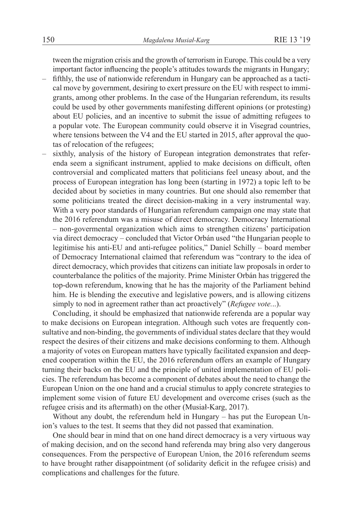tween the migration crisis and the growth of terrorism in Europe. This could be a very important factor influencing the people's attitudes towards the migrants in Hungary;

- fifthly, the use of nationwide referendum in Hungary can be approached as a tactical move by government, desiring to exert pressure on the EU with respect to immigrants, among other problems. In the case of the Hungarian referendum, its results could be used by other governments manifesting different opinions (or protesting) about EU policies, and an incentive to submit the issue of admitting refugees to a popular vote. The European community could observe it in Visegrad countries, where tensions between the V4 and the EU started in 2015, after approval the quotas of relocation of the refugees;
- sixthly, analysis of the history of European integration demonstrates that referenda seem a significant instrument, applied to make decisions on difficult, often controversial and complicated matters that politicians feel uneasy about, and the process of European integration has long been (starting in 1972) a topic left to be decided about by societies in many countries. But one should also remember that some politicians treated the direct decision-making in a very instrumental way. With a very poor standards of Hungarian referendum campaign one may state that the 2016 referendum was a misuse of direct democracy. Democracy International – non-govermental organization which aims to strengthen citizens' participation via direct democracy – concluded that Victor Orbán used "the Hungarian people to legitimise his anti-EU and anti-refugee politics," Daniel Schilly – board member of Democracy International claimed that referendum was "contrary to the idea of direct democracy, which provides that citizens can initiate law proposals in order to counterbalance the politics of the majority. Prime Minister Orbán has triggered the top-down referendum, knowing that he has the majority of the Parliament behind him. He is blending the executive and legislative powers, and is allowing citizens simply to nod in agreement rather than act proactively" (*Refugee vote.*..).

Concluding, it should be emphasized that nationwide referenda are a popular way to make decisions on European integration. Although such votes are frequently consultative and non-binding, the governments of individual states declare that they would respect the desires of their citizens and make decisions conforming to them. Although a majority of votes on European matters have typically facilitated expansion and deepened cooperation within the EU, the 2016 referendum offers an example of Hungary turning their backs on the EU and the principle of united implementation of EU policies. The referendum has become a component of debates about the need to change the European Union on the one hand and a crucial stimulus to apply concrete strategies to implement some vision of future EU development and overcome crises (such as the refugee crisis and its aftermath) on the other (Musiał-Karg, 2017).

Without any doubt, the referendum held in Hungary – has put the European Union's values to the test. It seems that they did not passed that examination.

One should bear in mind that on one hand direct democracy is a very virtuous way of making decision, and on the second hand referenda may bring also very dangerous consequences. From the perspective of European Union, the 2016 referendum seems to have brought rather disappointment (of solidarity deficit in the refugee crisis) and complications and challenges for the future.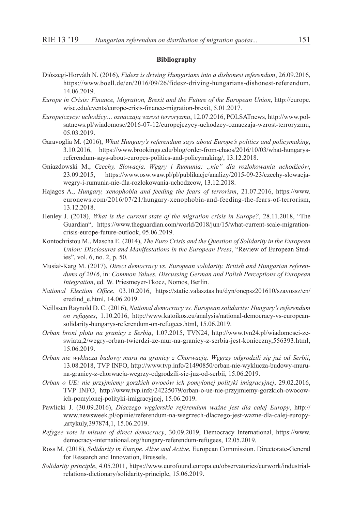### **Bibliography**

- Diószegi-Horváth N. (2016), *Fidesz is driving Hungarians into a dishonest referendum*, 26.09.2016, https://www.boell.de/en/2016/09/26/fidesz-driving-hungarians-dishonest-referendum, 14.06.2019.
- *Europe in Crisis: Finance, Migration, Brexit and the Future of the European Union*, http://europe. wisc.edu/events/europe-crisis-finance-migration-brexit, 5.01.2017.
- *Europejczycy: uchodźcy… oznaczają wzrost terroryzmu*, 12.07.2016, POLSATnews, http://www.polsatnews.pl/wiadomosc/2016-07-12/europejczycy-uchodzcy-oznaczaja-wzrost-terroryzmu, 05.03.2019.
- Garavoglia M. (2016), *What Hungary's referendum says about Europe's politics and policymaking*, 3.10.2016, https://www.brookings.edu/blog/order-from-chaos/2016/10/03/what-hungarysreferendum-says-about-europes-politics-and-policymaking/, 13.12.2018.
- Gniazdowski M., *Czechy, Słowacja, Węgry i Rumunia: "nie" dla rozlokowania uchodźców*, 23.09.2015, https://www.osw.waw.pl/pl/publikacje/analizy/2015-09-23/czechy-slowacjawegry-i-rumunia-nie-dla-rozlokowania-uchodzcow, 13.12.2018.
- Hajagos A., *Hungary, xenophobia and feeding the fears of terrorism*, 21.07.2016, https://www. euronews.com/2016/07/21/hungary-xenophobia-and-feeding-the-fears-of-terrorism, 13.12.2018.
- Henley J. (2018), *What is the current state of the migration crisis in Europe?*, 28.11.2018, "The Guardian", https://www.theguardian.com/world/2018/jun/15/what-current-scale-migrationcrisis-europe-future-outlook, 05.06.2019.
- Kontochristou M., Mascha E. (2014), *The Euro Crisis and the Question of Solidarity in the European Union: Disclosures and Manifestations in the European Press*, "Review of European Studies", vol. 6, no. 2, p. 50.
- Musiał-Karg M. (2017), *Direct democracy vs. European solidarity. British and Hungarian referendums of 2016*, in: *Common Values. Discussing German and Polish Perceptions of European Integration*, ed. W. Priesmeyer-Tkocz, Nomos, Berlin.
- *National Election Office*, 03.10.2016, https://static.valasztas.hu/dyn/onepsz201610/szavossz/en/ eredind\_e.html, 14.06.2019.
- Neillssen Raynold D. C. (2016), *National democracy vs. European solidarity: Hungary's referendum on refugees*, 1.10.2016, http://www.katoikos.eu/analysis/national-democracy-vs-europeansolidarity-hungarys-referendum-on-refugees.html, 15.06.2019.
- *Orban broni płotu na granicy z Serbią*, 1.07.2015, TVN24, http://www.tvn24.pl/wiadomosci-zeswiata,2/wegry-orban-twierdzi-ze-mur-na-granicy-z-serbia-jest-konieczny,556393.html, 15.06.2019.
- *Orban nie wyklucza budowy muru na granicy z Chorwacją. Węgrzy odgrodzili się już od Serbii*, 13.08.2018, TVP INFO, http://www.tvp.info/21490850/orban-nie-wyklucza-budowy-muruna-granicy-z-chorwacja-wegrzy-odgrodzili-sie-juz-od-serbii, 15.06.2019.
- *Orban o UE: nie przyjmiemy gorzkich owoców ich pomylonej polityki imigracyjnej*, 29.02.2016, TVP INFO, http://www.tvp.info/24225079/orban-o-ue-nie-przyjmiemy-gorzkich-owocowich-pomylonej-polityki-imigracyjnej, 15.06.2019.
- Pawlicki J. (30.09.2016), *Dlaczego węgierskie referendum ważne jest dla całej Europy*, http:// www.newsweek.pl/opinie/referendum-na-wegrzech-dlaczego-jest-wazne-dla-calej-europy- ,artykuly,397874,1, 15.06.2019.
- *Refygee vote is misuse of direct democracy*, 30.09.2019, Democracy International, https://www. democracy-international.org/hungary-referendum-refugees, 12.05.2019.
- Ross M. (2018), *Solidarity in Europe. Alive and Active*, European Commission. Directorate-General for Research and Innovation, Brussels.
- *Solidarity principle*, 4.05.2011, https://www.eurofound.europa.eu/observatories/eurwork/industrialrelations-dictionary/solidarity-principle, 15.06.2019.